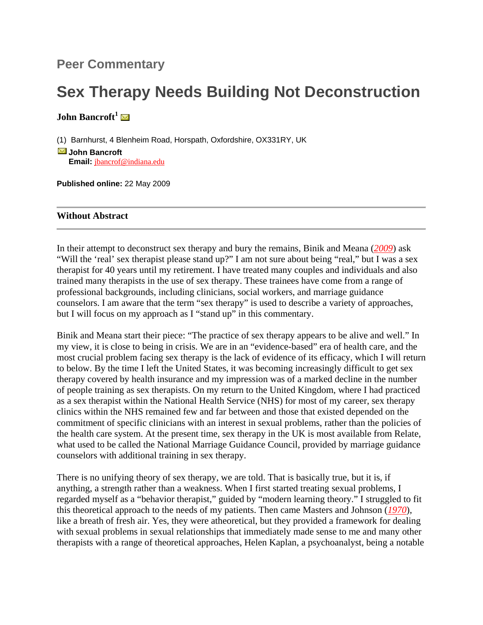## **Peer Commentary**

# **Sex Therapy Needs Building Not Deconstruction**

**John Bancroft<sup>1</sup>**

(1) Barnhurst, 4 Blenheim Road, Horspath, Oxfordshire, OX331RY, UK

**John Bancroft Email:** jbancrof@indiana.edu

**Published online:** 22 May 2009

### **Without Abstract**

In their attempt to deconstruct sex therapy and bury the remains, Binik and Meana (*2009*) ask "Will the 'real' sex therapist please stand up?" I am not sure about being "real," but I was a sex therapist for 40 years until my retirement. I have treated many couples and individuals and also trained many therapists in the use of sex therapy. These trainees have come from a range of professional backgrounds, including clinicians, social workers, and marriage guidance counselors. I am aware that the term "sex therapy" is used to describe a variety of approaches, but I will focus on my approach as I "stand up" in this commentary.

Binik and Meana start their piece: "The practice of sex therapy appears to be alive and well." In my view, it is close to being in crisis. We are in an "evidence-based" era of health care, and the most crucial problem facing sex therapy is the lack of evidence of its efficacy, which I will return to below. By the time I left the United States, it was becoming increasingly difficult to get sex therapy covered by health insurance and my impression was of a marked decline in the number of people training as sex therapists. On my return to the United Kingdom, where I had practiced as a sex therapist within the National Health Service (NHS) for most of my career, sex therapy clinics within the NHS remained few and far between and those that existed depended on the commitment of specific clinicians with an interest in sexual problems, rather than the policies of the health care system. At the present time, sex therapy in the UK is most available from Relate, what used to be called the National Marriage Guidance Council, provided by marriage guidance counselors with additional training in sex therapy.

There is no unifying theory of sex therapy, we are told. That is basically true, but it is, if anything, a strength rather than a weakness. When I first started treating sexual problems, I regarded myself as a "behavior therapist," guided by "modern learning theory." I struggled to fit this theoretical approach to the needs of my patients. Then came Masters and Johnson (*1970*), like a breath of fresh air. Yes, they were atheoretical, but they provided a framework for dealing with sexual problems in sexual relationships that immediately made sense to me and many other therapists with a range of theoretical approaches, Helen Kaplan, a psychoanalyst, being a notable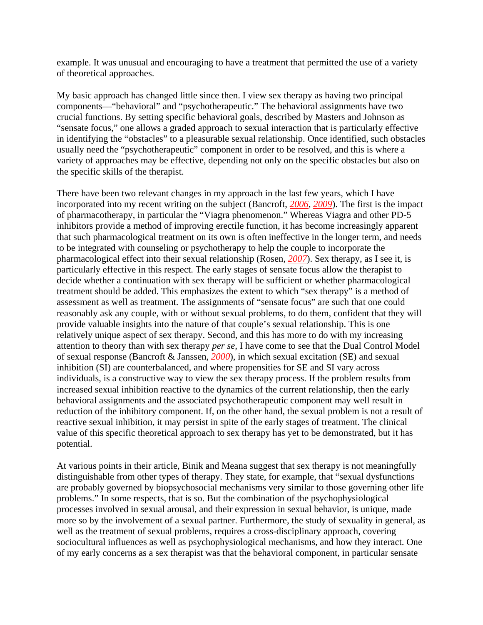example. It was unusual and encouraging to have a treatment that permitted the use of a variety of theoretical approaches.

My basic approach has changed little since then. I view sex therapy as having two principal components––"behavioral" and "psychotherapeutic." The behavioral assignments have two crucial functions. By setting specific behavioral goals, described by Masters and Johnson as "sensate focus," one allows a graded approach to sexual interaction that is particularly effective in identifying the "obstacles" to a pleasurable sexual relationship. Once identified, such obstacles usually need the "psychotherapeutic" component in order to be resolved, and this is where a variety of approaches may be effective, depending not only on the specific obstacles but also on the specific skills of the therapist.

There have been two relevant changes in my approach in the last few years, which I have incorporated into my recent writing on the subject (Bancroft, *2006*, *2009*). The first is the impact of pharmacotherapy, in particular the "Viagra phenomenon." Whereas Viagra and other PD-5 inhibitors provide a method of improving erectile function, it has become increasingly apparent that such pharmacological treatment on its own is often ineffective in the longer term, and needs to be integrated with counseling or psychotherapy to help the couple to incorporate the pharmacological effect into their sexual relationship (Rosen, *2007*). Sex therapy, as I see it, is particularly effective in this respect. The early stages of sensate focus allow the therapist to decide whether a continuation with sex therapy will be sufficient or whether pharmacological treatment should be added. This emphasizes the extent to which "sex therapy" is a method of assessment as well as treatment. The assignments of "sensate focus" are such that one could reasonably ask any couple, with or without sexual problems, to do them, confident that they will provide valuable insights into the nature of that couple's sexual relationship. This is one relatively unique aspect of sex therapy. Second, and this has more to do with my increasing attention to theory than with sex therapy *per se,* I have come to see that the Dual Control Model of sexual response (Bancroft & Janssen, *2000*), in which sexual excitation (SE) and sexual inhibition (SI) are counterbalanced, and where propensities for SE and SI vary across individuals, is a constructive way to view the sex therapy process. If the problem results from increased sexual inhibition reactive to the dynamics of the current relationship, then the early behavioral assignments and the associated psychotherapeutic component may well result in reduction of the inhibitory component. If, on the other hand, the sexual problem is not a result of reactive sexual inhibition, it may persist in spite of the early stages of treatment. The clinical value of this specific theoretical approach to sex therapy has yet to be demonstrated, but it has potential.

At various points in their article, Binik and Meana suggest that sex therapy is not meaningfully distinguishable from other types of therapy. They state, for example, that "sexual dysfunctions are probably governed by biopsychosocial mechanisms very similar to those governing other life problems." In some respects, that is so. But the combination of the psychophysiological processes involved in sexual arousal, and their expression in sexual behavior, is unique, made more so by the involvement of a sexual partner. Furthermore, the study of sexuality in general, as well as the treatment of sexual problems, requires a cross-disciplinary approach, covering sociocultural influences as well as psychophysiological mechanisms, and how they interact. One of my early concerns as a sex therapist was that the behavioral component, in particular sensate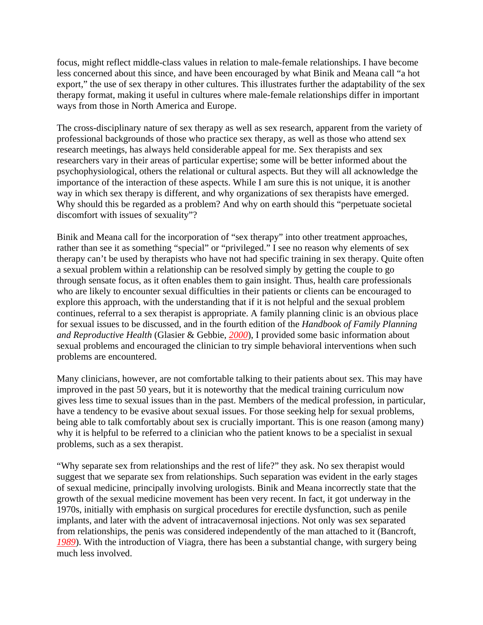focus, might reflect middle-class values in relation to male-female relationships. I have become less concerned about this since, and have been encouraged by what Binik and Meana call "a hot export," the use of sex therapy in other cultures. This illustrates further the adaptability of the sex therapy format, making it useful in cultures where male-female relationships differ in important ways from those in North America and Europe.

The cross-disciplinary nature of sex therapy as well as sex research, apparent from the variety of professional backgrounds of those who practice sex therapy, as well as those who attend sex research meetings, has always held considerable appeal for me. Sex therapists and sex researchers vary in their areas of particular expertise; some will be better informed about the psychophysiological, others the relational or cultural aspects. But they will all acknowledge the importance of the interaction of these aspects. While I am sure this is not unique, it is another way in which sex therapy is different, and why organizations of sex therapists have emerged. Why should this be regarded as a problem? And why on earth should this "perpetuate societal discomfort with issues of sexuality"?

Binik and Meana call for the incorporation of "sex therapy" into other treatment approaches, rather than see it as something "special" or "privileged." I see no reason why elements of sex therapy can't be used by therapists who have not had specific training in sex therapy. Quite often a sexual problem within a relationship can be resolved simply by getting the couple to go through sensate focus, as it often enables them to gain insight. Thus, health care professionals who are likely to encounter sexual difficulties in their patients or clients can be encouraged to explore this approach, with the understanding that if it is not helpful and the sexual problem continues, referral to a sex therapist is appropriate. A family planning clinic is an obvious place for sexual issues to be discussed, and in the fourth edition of the *Handbook of Family Planning and Reproductive Health* (Glasier & Gebbie, *2000*), I provided some basic information about sexual problems and encouraged the clinician to try simple behavioral interventions when such problems are encountered.

Many clinicians, however, are not comfortable talking to their patients about sex. This may have improved in the past 50 years, but it is noteworthy that the medical training curriculum now gives less time to sexual issues than in the past. Members of the medical profession, in particular, have a tendency to be evasive about sexual issues. For those seeking help for sexual problems, being able to talk comfortably about sex is crucially important. This is one reason (among many) why it is helpful to be referred to a clinician who the patient knows to be a specialist in sexual problems, such as a sex therapist.

"Why separate sex from relationships and the rest of life?" they ask. No sex therapist would suggest that we separate sex from relationships. Such separation was evident in the early stages of sexual medicine, principally involving urologists. Binik and Meana incorrectly state that the growth of the sexual medicine movement has been very recent. In fact, it got underway in the 1970s, initially with emphasis on surgical procedures for erectile dysfunction, such as penile implants, and later with the advent of intracavernosal injections. Not only was sex separated from relationships, the penis was considered independently of the man attached to it (Bancroft, *1989*). With the introduction of Viagra, there has been a substantial change, with surgery being much less involved.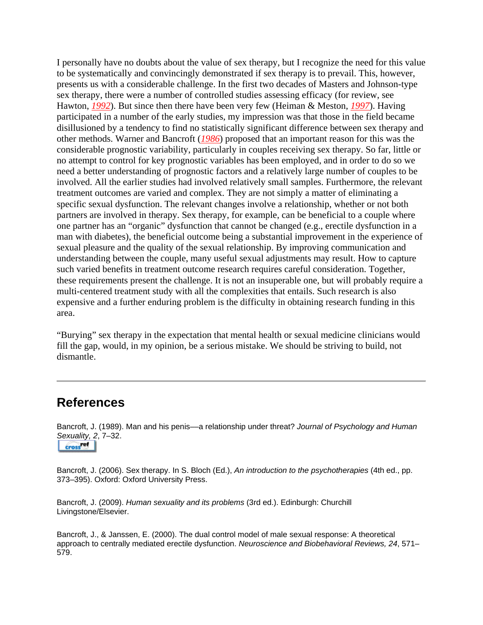I personally have no doubts about the value of sex therapy, but I recognize the need for this value to be systematically and convincingly demonstrated if sex therapy is to prevail. This, however, presents us with a considerable challenge. In the first two decades of Masters and Johnson-type sex therapy, there were a number of controlled studies assessing efficacy (for review, see Hawton, *1992*). But since then there have been very few (Heiman & Meston, *1997*). Having participated in a number of the early studies, my impression was that those in the field became disillusioned by a tendency to find no statistically significant difference between sex therapy and other methods. Warner and Bancroft (*1986*) proposed that an important reason for this was the considerable prognostic variability, particularly in couples receiving sex therapy. So far, little or no attempt to control for key prognostic variables has been employed, and in order to do so we need a better understanding of prognostic factors and a relatively large number of couples to be involved. All the earlier studies had involved relatively small samples. Furthermore, the relevant treatment outcomes are varied and complex. They are not simply a matter of eliminating a specific sexual dysfunction. The relevant changes involve a relationship, whether or not both partners are involved in therapy. Sex therapy, for example, can be beneficial to a couple where one partner has an "organic" dysfunction that cannot be changed (e.g., erectile dysfunction in a man with diabetes), the beneficial outcome being a substantial improvement in the experience of sexual pleasure and the quality of the sexual relationship. By improving communication and understanding between the couple, many useful sexual adjustments may result. How to capture such varied benefits in treatment outcome research requires careful consideration. Together, these requirements present the challenge. It is not an insuperable one, but will probably require a multi-centered treatment study with all the complexities that entails. Such research is also expensive and a further enduring problem is the difficulty in obtaining research funding in this area.

"Burying" sex therapy in the expectation that mental health or sexual medicine clinicians would fill the gap, would, in my opinion, be a serious mistake. We should be striving to build, not dismantle.

## **References**

Bancroft, J. (1989). Man and his penis––a relationship under threat? *Journal of Psychology and Human Sexuality, 2*, 7–32.

 $\frac{1}{2}$ 

Bancroft, J. (2006). Sex therapy. In S. Bloch (Ed.), *An introduction to the psychotherapies* (4th ed., pp. 373–395). Oxford: Oxford University Press.

Bancroft, J. (2009). *Human sexuality and its problems* (3rd ed.). Edinburgh: Churchill Livingstone/Elsevier.

Bancroft, J., & Janssen, E. (2000). The dual control model of male sexual response: A theoretical approach to centrally mediated erectile dysfunction. *Neuroscience and Biobehavioral Reviews, 24*, 571– 579.